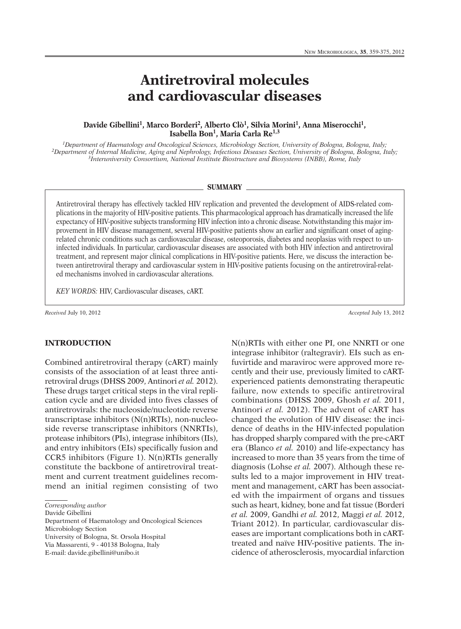# **Antiretroviral molecules and cardiovascular diseases**

#### **Davide Gibellini 1, Marco Borderi 2, Alberto Clò1, Silvia Morini 1, Anna Miserocchi 1, Isabella Bon1, Maria Carla Re1,3**

*1Department of Haematology and Oncological Sciences, Microbiology Section, University of Bologna, Bologna, Italy;* <sup>2</sup>Department of Internal Medicine, Aging and Nephrology, Infectious Diseases Section, University of Bologna, Bologna, Italy; *3Interuniversity Consortium, National Institute Biostructure and Biosystems (INBB), Rome, Italy*

#### **SUMMARY**

Antiretroviral therapy has effectively tackled HIV replication and prevented the development of AIDS-related complications in the majority of HIV-positive patients. This pharmacological approach has dramatically increased the life expectancy of HIV-positive subjects transforming HIV infection into a chronic disease. Notwithstanding this major improvement in HIV disease management, several HIV-positive patients show an earlier and significant onset of agingrelated chronic conditions such as cardiovascular disease, osteoporosis, diabetes and neoplasias with respect to uninfected individuals. In particular, cardiovascular diseases are associated with both HIV infection and antiretroviral treatment, and represent major clinical complications in HIV-positive patients. Here, we discuss the interaction between antiretroviral therapy and cardiovascular system in HIV-positive patients focusing on the antiretroviral-related mechanisms involved in cardiovascular alterations.

*KEY WORDS:* HIV, Cardiovascular diseases, cART.

*Received* July 10, 2012 *Accepted* July 13, 2012

#### **INTRODUCTION**

Combined antiretroviral therapy (cART) mainly consists of the association of at least three antiretroviral drugs (DHSS 2009, Antinori *et al.* 2012). These drugs target critical steps in the viral replication cycle and are divided into fives classes of antiretrovirals: the nucleoside/nucleotide reverse transcriptase inhibitors (N(n)RTIs), non-nucleoside reverse transcriptase inhibitors (NNRTIs), protease inhibitors (PIs), integrase inhibitors (IIs), and entry inhibitors (EIs) specifically fusion and CCR5 inhibitors (Figure 1). N(n)RTIs generally constitute the backbone of antiretroviral treatment and current treatment guidelines recommend an initial regimen consisting of two

*Corresponding author*

Department of Haematology and Oncological Sciences Microbiology Section University of Bologna, St. Orsola Hospital Via Massarenti, 9 - 40138 Bologna, Italy

E-mail: davide.gibellini@unibo.it

N(n)RTIs with either one PI, one NNRTI or one integrase inhibitor (raltegravir). EIs such as enfuvirtide and maraviroc were approved more recently and their use, previously limited to cARTexperienced patients demonstrating therapeutic failure, now extends to specific antiretroviral combinations (DHSS 2009, Ghosh *et al.* 2011, Antinori *et al.* 2012). The advent of cART has changed the evolution of HIV disease: the incidence of deaths in the HIV-infected population has dropped sharply compared with the pre-cART era (Blanco *et al.* 2010) and life-expectancy has increased to more than 35 years from the time of diagnosis (Lohse *et al.* 2007). Although these results led to a major improvement in HIV treatment and management, cART has been associated with the impairment of organs and tissues such as heart, kidney, bone and fat tissue (Borderi *et al.* 2009, Gandhi *et al.* 2012, Maggi *et al.* 2012, Triant 2012). In particular, cardiovascular diseases are important complications both in cARTtreated and naïve HIV-positive patients. The incidence of atherosclerosis, myocardial infarction

Davide Gibellini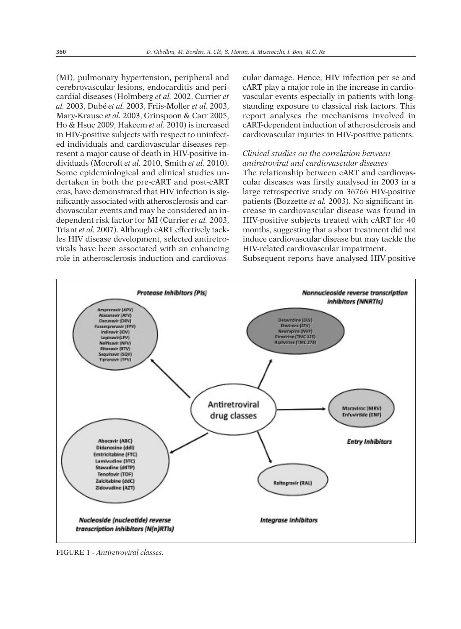(MI), pulmonary hypertension, peripheral and cerebrovascular lesions, endocarditis and pericardial diseases (Holmberg *et al.* 2002, Currier *et al.* 2003, Dubé *et al.* 2003, Friis-Moller *et al.* 2003, Mary-Krause *et al.* 2003, Grinspoon & Carr 2005, Ho & Hsue 2009, Hakeem *et al.* 2010) is increased in HIV-positive subjects with respect to uninfected individuals and cardiovascular diseases represent a major cause of death in HIV-positive individuals (Mocroft *et al.* 2010, Smith *et al.* 2010). Some epidemiological and clinical studies undertaken in both the pre-cART and post-cART eras, have demonstrated that HIV infection is significantly associated with atherosclerosis and cardiovascular events and may be considered an independent risk factor for MI (Currier *et al.* 2003, Triant *et al.* 2007). Although cART effectively tackles HIV disease development, selected antiretrovirals have been associated with an enhancing role in atherosclerosis induction and cardiovascular damage. Hence, HIV infection per se and cART play a major role in the increase in cardiovascular events especially in patients with longstanding exposure to classical risk factors. This report analyses the mechanisms involved in cART-dependent induction of atherosclerosis and cardiovascular injuries in HIV-positive patients.

## *Clinical studies on the correlation between antiretroviral and cardiovascular diseases*

The relationship between cART and cardiovascular diseases was firstly analysed in 2003 in a large retrospective study on 36766 HIV-positive patients (Bozzette *et al.* 2003). No significant increase in cardiovascular disease was found in HIV-positive subjects treated with cART for 40 months, suggesting that a short treatment did not induce cardiovascular disease but may tackle the HIV-related cardiovascular impairment. Subsequent reports have analysed HIV-positive



FIGURE 1 - *Antiretroviral classes.*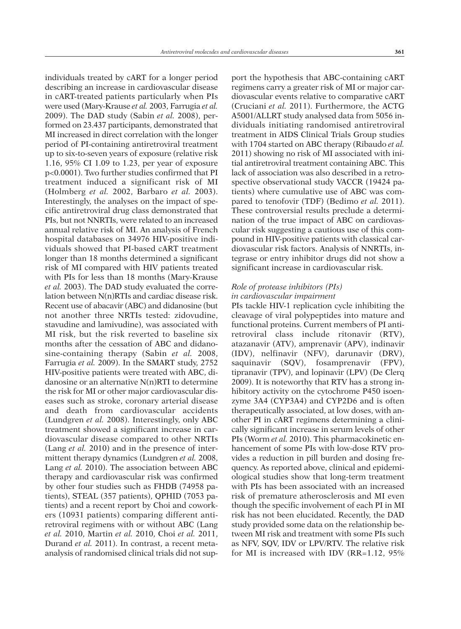individuals treated by cART for a longer period describing an increase in cardiovascular disease in cART-treated patients particularly when PIs were used (Mary-Krause *et al.* 2003, Farrugia *et al.* 2009). The DAD study (Sabin *et al.* 2008), performed on 23.437 participants, demonstrated that MI increased in direct correlation with the longer period of PI-containing antiretroviral treatment up to six-to-seven years of exposure (relative risk 1.16, 95% CI 1.09 to 1.23, per year of exposure p<0.0001). Two further studies confirmed that PI treatment induced a significant risk of MI (Holmberg *et al.* 2002, Barbaro *et al.* 2003). Interestingly, the analyses on the impact of specific antiretroviral drug class demonstrated that PIs, but not NNRTIs, were related to an increased annual relative risk of MI. An analysis of French hospital databases on 34976 HIV-positive individuals showed that PI-based cART treatment longer than 18 months determined a significant risk of MI compared with HIV patients treated with PIs for less than 18 months (Mary-Krause *et al.* 2003). The DAD study evaluated the correlation between N(n)RTIs and cardiac disease risk. Recent use of abacavir (ABC) and didanosine (but not another three NRTIs tested: zidovudine, stavudine and lamivudine), was associated with MI risk, but the risk reverted to baseline six months after the cessation of ABC and didanosine-containing therapy (Sabin *et al.* 2008, Farrugia *et al.* 2009). In the SMART study, 2752 HIV-positive patients were treated with ABC, didanosine or an alternative N(n)RTI to determine the risk for MI or other major cardiovascular diseases such as stroke, coronary arterial disease and death from cardiovascular accidents (Lundgren *et al.* 2008). Interestingly, only ABC treatment showed a significant increase in cardiovascular disease compared to other NRTIs (Lang *et al.* 2010) and in the presence of intermittent therapy dynamics (Lundgren *et al.* 2008, Lang *et al.* 2010). The association between ABC therapy and cardiovascular risk was confirmed by other four studies such as FHDB (74958 patients), STEAL (357 patients), QPHID (7053 patients) and a recent report by Choi and coworkers (10931 patients) comparing different antiretroviral regimens with or without ABC (Lang *et al.* 2010, Martin *et al.* 2010, Choi *et al.* 2011, Durand *et al.* 2011). In contrast, a recent metaanalysis of randomised clinical trials did not sup-

port the hypothesis that ABC-containing cART regimens carry a greater risk of MI or major cardiovascular events relative to comparative cART (Cruciani *et al.* 2011). Furthermore, the ACTG A5001/ALLRT study analysed data from 5056 individuals initiating randomised antiretroviral treatment in AIDS Clinical Trials Group studies with 1704 started on ABC therapy (Ribaudo *et al.* 2011) showing no risk of MI associated with initial antiretroviral treatment containing ABC. This lack of association was also described in a retrospective observational study VACCR (19424 patients) where cumulative use of ABC was compared to tenofovir (TDF) (Bedimo *et al.* 2011). These controversial results preclude a determination of the true impact of ABC on cardiovascular risk suggesting a cautious use of this compound in HIV-positive patients with classical cardiovascular risk factors. Analysis of NNRTIs, integrase or entry inhibitor drugs did not show a significant increase in cardiovascular risk.

## *Role of protease inhibitors (PIs) in cardiovascular impairment*

PIs tackle HIV-1 replication cycle inhibiting the cleavage of viral polypeptides into mature and functional proteins. Current members of PI antiretroviral class include ritonavir (RTV), atazanavir (ATV), amprenavir (APV), indinavir (IDV), nelfinavir (NFV), darunavir (DRV), saquinavir (SQV), fosamprenavir (FPV), tipranavir (TPV), and lopinavir (LPV) (De Clerq 2009). It is noteworthy that RTV has a strong inhibitory activity on the cytochrome P450 isoenzyme 3A4 (CYP3A4) and CYP2D6 and is often therapeutically associated, at low doses, with another PI in cART regimens determining a clinically significant increase in serum levels of other PIs (Worm *et al.* 2010). This pharmacokinetic enhancement of some PIs with low-dose RTV provides a reduction in pill burden and dosing frequency. As reported above, clinical and epidemiological studies show that long-term treatment with PIs has been associated with an increased risk of premature atherosclerosis and MI even though the specific involvement of each PI in MI risk has not been elucidated. Recently, the DAD study provided some data on the relationship between MI risk and treatment with some PIs such as NFV, SQV, IDV or LPV/RTV. The relative risk for MI is increased with IDV (RR=1.12, 95%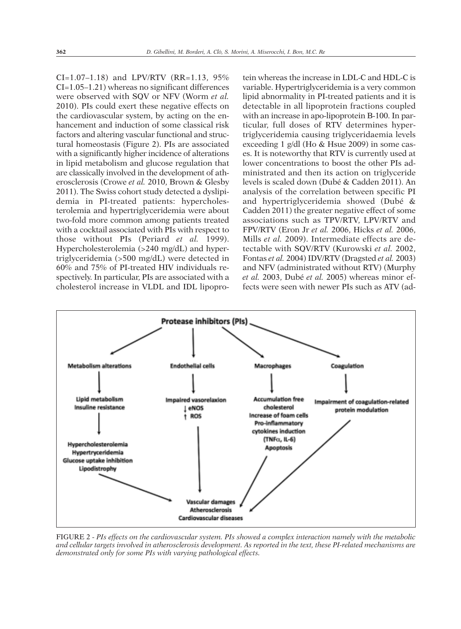CI=1.07–1.18) and LPV/RTV (RR=1.13, 95% CI=1.05–1.21) whereas no significant differences were observed with SQV or NFV (Worm *et al.* 2010). PIs could exert these negative effects on the cardiovascular system, by acting on the enhancement and induction of some classical risk factors and altering vascular functional and structural homeostasis (Figure 2). PIs are associated with a significantly higher incidence of alterations in lipid metabolism and glucose regulation that are classically involved in the development of atherosclerosis (Crowe *et al.* 2010, Brown & Glesby 2011). The Swiss cohort study detected a dyslipidemia in PI-treated patients: hypercholesterolemia and hypertriglyceridemia were about two-fold more common among patients treated with a cocktail associated with PIs with respect to those without PIs (Periard *et al.* 1999). Hypercholesterolemia (>240 mg/dL) and hypertriglyceridemia (>500 mg/dL) were detected in 60% and 75% of PI-treated HIV individuals respectively. In particular, PIs are associated with a cholesterol increase in VLDL and IDL lipopro-

tein whereas the increase in LDL-C and HDL-C is variable. Hypertriglyceridemia is a very common lipid abnormality in PI-treated patients and it is detectable in all lipoprotein fractions coupled with an increase in apo-lipoprotein B-100. In particular, full doses of RTV determines hypertriglyceridemia causing triglyceridaemia levels exceeding 1 g/dl (Ho & Hsue 2009) in some cases. It is noteworthy that RTV is currently used at lower concentrations to boost the other PIs administrated and then its action on triglyceride levels is scaled down (Dubé & Cadden 2011). An analysis of the correlation between specific PI and hypertriglyceridemia showed (Dubé & Cadden 2011) the greater negative effect of some associations such as TPV/RTV, LPV/RTV and FPV/RTV (Eron Jr *et al.* 2006, Hicks *et al.* 2006, Mills *et al.* 2009). Intermediate effects are detectable with SQV/RTV (Kurowski *et al.* 2002, Fontas *et al.* 2004) IDV/RTV (Dragsted *et al.* 2003) and NFV (administrated without RTV) (Murphy *et al.* 2003, Dubé *et al.* 2005) whereas minor effects were seen with newer PIs such as ATV (ad-



FIGURE 2 - *PIs effects on the cardiovascular system. PIs showed a complex interaction namely with the metabolic* and cellular targets involved in atherosclerosis development. As reported in the text, these PI-related mechanisms are *demonstrated only for some PIs with varying pathological effects.*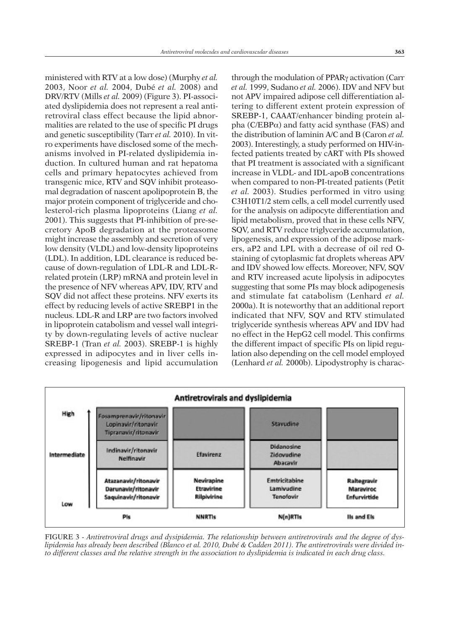ministered with RTV at a low dose) (Murphy *et al.* 2003, Noor *et al.* 2004, Dubé *et al.* 2008) and DRV/RTV (Mills *et al.* 2009) (Figure 3). PI-associated dyslipidemia does not represent a real antiretroviral class effect because the lipid abnormalities are related to the use of specific PI drugs and genetic susceptibility (Tarr *et al.* 2010). In vitro experiments have disclosed some of the mechanisms involved in PI-related dyslipidemia induction. In cultured human and rat hepatoma cells and primary hepatocytes achieved from transgenic mice, RTV and SQV inhibit proteasomal degradation of nascent apolipoprotein B, the major protein component of triglyceride and cholesterol-rich plasma lipoproteins (Liang *et al.* 2001). This suggests that PI-inhibition of pre-secretory ApoB degradation at the proteasome might increase the assembly and secretion of very low density (VLDL) and low-density lipoproteins (LDL). In addition, LDL clearance is reduced because of down-regulation of LDL-R and LDL-Rrelated protein (LRP) mRNA and protein level in the presence of NFV whereas APV, IDV, RTV and SQV did not affect these proteins. NFV exerts its effect by reducing levels of active SREBP1 in the nucleus. LDL-R and LRP are two factors involved in lipoprotein catabolism and vessel wall integrity by down-regulating levels of active nuclear SREBP-1 (Tran *et al.* 2003). SREBP-1 is highly expressed in adipocytes and in liver cells increasing lipogenesis and lipid accumulation

through the modulation of PPAR<sub>Y</sub> activation (Carr *et al.* 1999, Sudano *et al.* 2006). IDV and NFV but not APV impaired adipose cell differentiation altering to different extent protein expression of SREBP-1, CAAAT/enhancer binding protein alpha ( $C/EBP\alpha$ ) and fatty acid synthase (FAS) and the distribution of laminin A/C and B (Caron *et al.* 2003). Interestingly, a study performed on HIV-infected patients treated by cART with PIs showed that PI treatment is associated with a significant increase in VLDL- and IDL-apoB concentrations when compared to non-PI-treated patients (Petit *et al.* 2003). Studies performed in vitro using C3H10T1/2 stem cells, a cell model currently used for the analysis on adipocyte differentiation and lipid metabolism, proved that in these cells NFV, SQV, and RTV reduce triglyceride accumulation, lipogenesis, and expression of the adipose markers, aP2 and LPL with a decrease of oil red Ostaining of cytoplasmic fat droplets whereas APV and IDV showed low effects. Moreover, NFV, SQV and RTV increased acute lipolysis in adipocytes suggesting that some PIs may block adipogenesis and stimulate fat catabolism (Lenhard *et al.* 2000a). It is noteworthy that an additional report indicated that NFV, SQV and RTV stimulated triglyceride synthesis whereas APV and IDV had no effect in the HepG2 cell model. This confirms the different impact of specific PIs on lipid regulation also depending on the cell model employed (Lenhard *et al.* 2000b). Lipodystrophy is charac-



FIGURE 3 - *Antiretroviral drugs and dysipidemia. The relationship between antiretrovirals and the degree of dys*lipidemia has already been described (Blanco et al. 2010, Dubé & Cadden 2011). The antiretrovirals were divided into different classes and the relative strength in the association to dyslipidemia is indicated in each drug class.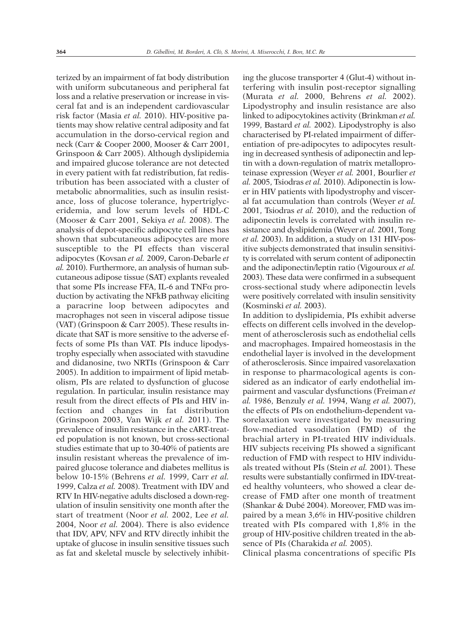terized by an impairment of fat body distribution with uniform subcutaneous and peripheral fat loss and a relative preservation or increase in visceral fat and is an independent cardiovascular risk factor (Masia *et al.* 2010). HIV-positive patients may show relative central adiposity and fat accumulation in the dorso-cervical region and neck (Carr & Cooper 2000, Mooser & Carr 2001, Grinspoon & Carr 2005). Although dyslipidemia and impaired glucose tolerance are not detected in every patient with fat redistribution, fat redistribution has been associated with a cluster of metabolic abnormalities, such as insulin resistance, loss of glucose tolerance, hypertriglyceridemia, and low serum levels of HDL-C (Mooser & Carr 2001, Sekiya *et al.* 2008). The analysis of depot-specific adipocyte cell lines has shown that subcutaneous adipocytes are more susceptible to the PI effects than visceral adipocytes (Kovsan *et al.* 2009, Caron-Debarle *et al.* 2010). Furthermore, an analysis of human subcutaneous adipose tissue (SAT) explants revealed that some PIs increase FFA, IL-6 and  $TNF\alpha$  production by activating the NFkB pathway eliciting a paracrine loop between adipocytes and macrophages not seen in visceral adipose tissue (VAT) (Grinspoon & Carr 2005). These results indicate that SAT is more sensitive to the adverse effects of some PIs than VAT. PIs induce lipodystrophy especially when associated with stavudine and didanosine, two NRTIs (Grinspoon & Carr 2005). In addition to impairment of lipid metabolism, PIs are related to dysfunction of glucose regulation. In particular, insulin resistance may result from the direct effects of PIs and HIV infection and changes in fat distribution (Grinspoon 2003, Van Wijk *et al.* 2011). The prevalence of insulin resistance in the cART-treated population is not known, but cross-sectional studies estimate that up to 30-40% of patients are insulin resistant whereas the prevalence of impaired glucose tolerance and diabetes mellitus is below 10-15% (Behrens *et al.* 1999, Carr *et al.* 1999, Calza *et al.* 2008). Treatment with IDV and RTV In HIV-negative adults disclosed a down-regulation of insulin sensitivity one month after the start of treatment (Noor *et al.* 2002, Lee *et al.* 2004, Noor *et al.* 2004). There is also evidence that IDV, APV, NFV and RTV directly inhibit the uptake of glucose in insulin sensitive tissues such as fat and skeletal muscle by selectively inhibit-

ing the glucose transporter 4 (Glut-4) without interfering with insulin post-receptor signalling (Murata *et al.* 2000, Behrens *et al.* 2002). Lipodystrophy and insulin resistance are also linked to adipocytokines activity (Brinkman *et al.* 1999, Bastard *et al.* 2002). Lipodystrophy is also characterised by PI-related impairment of differentiation of pre-adipocytes to adipocytes resulting in decreased synthesis of adiponectin and leptin with a down-regulation of matrix metalloproteinase expression (Weyer *et al.* 2001, Bourlier *et al.* 2005, Tsiodras *et al.* 2010). Adiponectin is lower in HIV patients with lipodystrophy and visceral fat accumulation than controls (Weyer *et al.* 2001, Tsiodras *et al.* 2010), and the reduction of adiponectin levels is correlated with insulin resistance and dyslipidemia (Weyer *et al.* 2001, Tong *et al.* 2003). In addition, a study on 131 HIV-positive subjects demonstrated that insulin sensitivity is correlated with serum content of adiponectin and the adiponectin/leptin ratio (Vigouroux *et al.* 2003). These data were confirmed in a subsequent cross-sectional study where adiponectin levels were positively correlated with insulin sensitivity (Kosminski *et al.* 2003).

In addition to dyslipidemia, PIs exhibit adverse effects on different cells involved in the development of atherosclerosis such as endothelial cells and macrophages. Impaired homeostasis in the endothelial layer is involved in the development of atherosclerosis. Since impaired vasorelaxation in response to pharmacological agents is considered as an indicator of early endothelial impairment and vascular dysfunctions (Freiman *et al.* 1986, Benzuly *et al.* 1994, Wang *et al.* 2007), the effects of PIs on endothelium-dependent vasorelaxation were investigated by measuring flow-mediated vasodilation (FMD) of the brachial artery in PI-treated HIV individuals. HIV subjects receiving PIs showed a significant reduction of FMD with respect to HIV individuals treated without PIs (Stein *et al.* 2001). These results were substantially confirmed in IDV-treated healthy volunteers, who showed a clear decrease of FMD after one month of treatment (Shankar & Dubé 2004). Moreover, FMD was impaired by a mean 3,6% in HIV-positive children treated with PIs compared with 1,8% in the group of HIV-positive children treated in the absence of PIs (Charakida *et al.* 2005).

Clinical plasma concentrations of specific PIs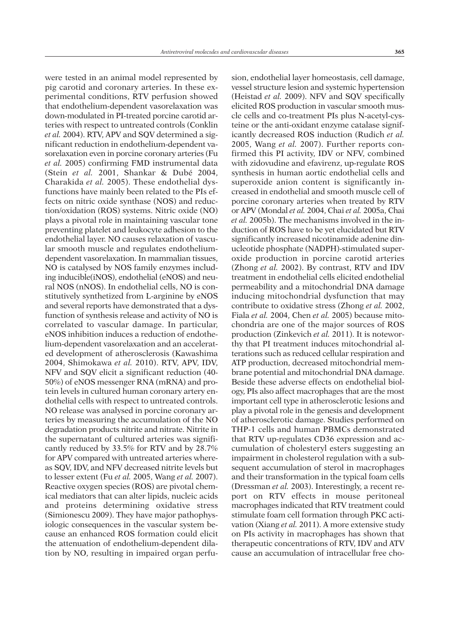were tested in an animal model represented by pig carotid and coronary arteries. In these experimental conditions, RTV perfusion showed that endothelium-dependent vasorelaxation was down-modulated in PI-treated porcine carotid arteries with respect to untreated controls (Conklin *et al.* 2004). RTV, APV and SQV determined a significant reduction in endothelium-dependent vasorelaxation even in porcine coronary arteries (Fu *et al.* 2005) confirming FMD instrumental data (Stein *et al.* 2001, Shankar & Dubé 2004, Charakida *et al.* 2005). These endothelial dysfunctions have mainly been related to the PIs effects on nitric oxide synthase (NOS) and reduction/oxidation (ROS) systems. Nitric oxide (NO) plays a pivotal role in maintaining vascular tone preventing platelet and leukocyte adhesion to the endothelial layer. NO causes relaxation of vascular smooth muscle and regulates endotheliumdependent vasorelaxation. In mammalian tissues, NO is catalysed by NOS family enzymes including inducible(iNOS), endothelial (eNOS) and neural NOS (nNOS). In endothelial cells, NO is constitutively synthetized from L-arginine by eNOS and several reports have demonstrated that a dysfunction of synthesis release and activity of NO is correlated to vascular damage. In particular, eNOS inhibition induces a reduction of endothelium-dependent vasorelaxation and an accelerated development of atherosclerosis (Kawashima 2004, Shimokawa *et al.* 2010). RTV, APV, IDV, NFV and SQV elicit a significant reduction (40- 50%) of eNOS messenger RNA (mRNA) and protein levels in cultured human coronary artery endothelial cells with respect to untreated controls. NO release was analysed in porcine coronary arteries by measuring the accumulation of the NO degradation products nitrite and nitrate. Nitrite in the supernatant of cultured arteries was significantly reduced by 33.5% for RTV and by 28.7% for APV compared with untreated arteries whereas SQV, IDV, and NFV decreased nitrite levels but to lesser extent (Fu *et al.* 2005, Wang *et al.* 2007). Reactive oxygen species (ROS) are pivotal chemical mediators that can alter lipids, nucleic acids and proteins determining oxidative stress (Simionescu 2009). They have major pathophysiologic consequences in the vascular system because an enhanced ROS formation could elicit the attenuation of endothelium-dependent dilation by NO, resulting in impaired organ perfu-

sion, endothelial layer homeostasis, cell damage, vessel structure lesion and systemic hypertension (Heistad *et al.* 2009). NFV and SQV specifically elicited ROS production in vascular smooth muscle cells and co-treatment PIs plus N-acetyl-cysteine or the anti-oxidant enzyme catalase significantly decreased ROS induction (Rudich *et al.* 2005, Wang *et al.* 2007). Further reports confirmed this PI activity, IDV or NFV, combined with zidovudine and efavirenz, up-regulate ROS synthesis in human aortic endothelial cells and superoxide anion content is significantly increased in endothelial and smooth muscle cell of porcine coronary arteries when treated by RTV or APV (Mondal *et al.* 2004, Chai *et al.* 2005a, Chai *et al.* 2005b). The mechanisms involved in the induction of ROS have to be yet elucidated but RTV significantly increased nicotinamide adenine dinucleotide phosphate (NADPH)-stimulated superoxide production in porcine carotid arteries (Zhong *et al.* 2002). By contrast, RTV and IDV treatment in endothelial cells elicited endothelial permeability and a mitochondrial DNA damage inducing mitochondrial dysfunction that may contribute to oxidative stress (Zhong *et al.* 2002, Fiala *et al.* 2004, Chen *et al.* 2005) because mitochondria are one of the major sources of ROS production (Zinkevich *et al.* 2011). It is noteworthy that PI treatment induces mitochondrial alterations such as reduced cellular respiration and ATP production, decreased mitochondrial membrane potential and mitochondrial DNA damage. Beside these adverse effects on endothelial biology, PIs also affect macrophages that are the most important cell type in atherosclerotic lesions and play a pivotal role in the genesis and development of atherosclerotic damage. Studies performed on THP-1 cells and human PBMCs demonstrated that RTV up-regulates CD36 expression and accumulation of cholesteryl esters suggesting an impairment in cholesterol regulation with a subsequent accumulation of sterol in macrophages and their transformation in the typical foam cells (Dressman *et al.* 2003). Interestingly, a recent report on RTV effects in mouse peritoneal macrophages indicated that RTV treatment could stimulate foam cell formation through PKC activation (Xiang *et al.* 2011). A more extensive study on PIs activity in macrophages has shown that therapeutic concentrations of RTV, IDV and ATV cause an accumulation of intracellular free cho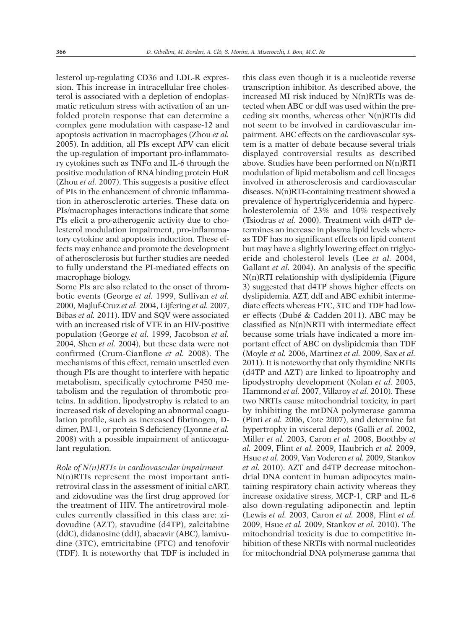lesterol up-regulating CD36 and LDL-R expression. This increase in intracellular free cholesterol is associated with a depletion of endoplasmatic reticulum stress with activation of an unfolded protein response that can determine a complex gene modulation with caspase-12 and apoptosis activation in macrophages (Zhou *et al.* 2005). In addition, all PIs except APV can elicit the up-regulation of important pro-inflammatory cytokines such as  $TNF\alpha$  and IL-6 through the positive modulation of RNA binding protein HuR (Zhou *et al.* 2007). This suggests a positive effect of PIs in the enhancement of chronic inflammation in atherosclerotic arteries. These data on PIs/macrophages interactions indicate that some PIs elicit a pro-atherogenic activity due to cholesterol modulation impairment, pro-inflammatory cytokine and apoptosis induction. These effects may enhance and promote the development of atherosclerosis but further studies are needed to fully understand the PI-mediated effects on macrophage biology.

Some PIs are also related to the onset of thrombotic events (George *et al.* 1999, Sullivan *et al.* 2000, Majluf-Cruz *et al.* 2004, Lijfering *et al.* 2007, Bibas *et al.* 2011). IDV and SQV were associated with an increased risk of VTE in an HIV-positive population (George *et al.* 1999, Jacobson *et al.* 2004, Shen *et al.* 2004), but these data were not confirmed (Crum-Cianflone *et al.* 2008). The mechanisms of this effect, remain unsettled even though PIs are thought to interfere with hepatic metabolism, specifically cytochrome P450 metabolism and the regulation of thrombotic proteins. In addition, lipodystrophy is related to an increased risk of developing an abnormal coagulation profile, such as increased fibrinogen, Ddimer, PAI-1, or protein S deficiency (Lyonne *et al.* 2008) with a possible impairment of anticoagulant regulation.

## *Role of N(n)RTIs in cardiovascular impairment*

N(n)RTIs represent the most important antiretroviral class in the assessment of initial cART, and zidovudine was the first drug approved for the treatment of HIV. The antiretroviral molecules currently classified in this class are: zidovudine (AZT), stavudine (d4TP), zalcitabine (ddC), didanosine (ddI), abacavir (ABC), lamivudine (3TC), emtricitabine (FTC) and tenofovir (TDF). It is noteworthy that TDF is included in

this class even though it is a nucleotide reverse transcription inhibitor. As described above, the increased MI risk induced by N(n)RTIs was detected when ABC or ddI was used within the preceding six months, whereas other N(n)RTIs did not seem to be involved in cardiovascular impairment. ABC effects on the cardiovascular system is a matter of debate because several trials displayed controversial results as described above. Studies have been performed on N(n)RTI modulation of lipid metabolism and cell lineages involved in atherosclerosis and cardiovascular diseases. N(n)RTI-containing treatment showed a prevalence of hypertriglyceridemia and hypercholesterolemia of 23% and 10% respectively (Tsiodras *et al.* 2000). Treatment with d4TP determines an increase in plasma lipid levels whereas TDF has no significant effects on lipid content but may have a slightly lowering effect on triglyceride and cholesterol levels (Lee *et al.* 2004, Gallant *et al.* 2004). An analysis of the specific N(n)RTI relationship with dyslipidemia (Figure 3) suggested that d4TP shows higher effects on dyslipidemia. AZT, ddI and ABC exhibit intermediate effects whereas FTC, 3TC and TDF had lower effects (Dubé & Cadden 2011). ABC may be classified as N(n)NRTI with intermediate effect because some trials have indicated a more important effect of ABC on dyslipidemia than TDF (Moyle *et al.* 2006, Martinez *et al.* 2009, Sax *et al.* 2011). It is noteworthy that only thymidine NRTIs (d4TP and AZT) are linked to lipoatrophy and lipodystrophy development (Nolan *et al.* 2003, Hammond *et al.* 2007, Villaroy *et al.* 2010). These two NRTIs cause mitochondrial toxicity, in part by inhibiting the mtDNA polymerase gamma (Pinti *et al.* 2006, Cote 2007), and determine fat hypertrophy in visceral depots (Galli *et al.* 2002, Miller *et al.* 2003, Caron *et al.* 2008, Boothby *et al.* 2009, Flint *et al.* 2009, Haubrich *et al.* 2009, Hsue *et al.* 2009, Van Voderen *et al.* 2009, Stankov *et al.* 2010). AZT and d4TP decrease mitochondrial DNA content in human adipocytes maintaining respiratory chain activity whereas they increase oxidative stress, MCP-1, CRP and IL-6 also down-regulating adiponectin and leptin (Lewis *et al.* 2003, Caron *et al.* 2008, Flint *et al.* 2009, Hsue *et al.* 2009, Stankov *et al.* 2010). The mitochondrial toxicity is due to competitive inhibition of these NRTIs with normal nucleotides for mitochondrial DNA polymerase gamma that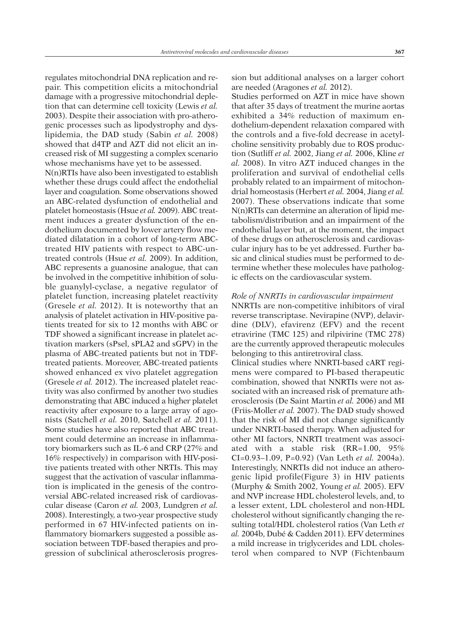regulates mitochondrial DNA replication and repair. This competition elicits a mitochondrial damage with a progressive mitochondrial depletion that can determine cell toxicity (Lewis *et al.* 2003). Despite their association with pro-atherogenic processes such as lipodystrophy and dyslipidemia, the DAD study (Sabin *et al.* 2008) showed that d4TP and AZT did not elicit an increased risk of MI suggesting a complex scenario whose mechanisms have yet to be assessed.

N(n)RTIs have also been investigated to establish whether these drugs could affect the endothelial layer and coagulation. Some observations showed an ABC-related dysfunction of endothelial and platelet homeostasis (Hsue *et al.* 2009). ABC treatment induces a greater dysfunction of the endothelium documented by lower artery flow mediated dilatation in a cohort of long-term ABCtreated HIV patients with respect to ABC-untreated controls (Hsue *et al.* 2009). In addition, ABC represents a guanosine analogue, that can be involved in the competitive inhibition of soluble guanylyl-cyclase, a negative regulator of platelet function, increasing platelet reactivity (Gresele *et al.* 2012). It is noteworthy that an analysis of platelet activation in HIV-positive patients treated for six to 12 months with ABC or TDF showed a significant increase in platelet activation markers (sPsel, sPLA2 and sGPV) in the plasma of ABC-treated patients but not in TDFtreated patients. Moreover, ABC-treated patients showed enhanced ex vivo platelet aggregation (Gresele *et al.* 2012). The increased platelet reactivity was also confirmed by another two studies demonstrating that ABC induced a higher platelet reactivity after exposure to a large array of agonists (Satchell *et al.* 2010, Satchell *et al.* 2011). Some studies have also reported that ABC treatment could determine an increase in inflammatory biomarkers such as IL-6 and CRP (27% and 16% respectively) in comparison with HIV-positive patients treated with other NRTIs. This may suggest that the activation of vascular inflammation is implicated in the genesis of the controversial ABC-related increased risk of cardiovascular disease (Caron *et al.* 2003, Lundgren *et al.* 2008). Interestingly, a two-year prospective study performed in 67 HIV-infected patients on inflammatory biomarkers suggested a possible association between TDF-based therapies and progression of subclinical atherosclerosis progression but additional analyses on a larger cohort are needed (Aragones *et al.* 2012).

Studies performed on AZT in mice have shown that after 35 days of treatment the murine aortas exhibited a 34% reduction of maximum endothelium-dependent relaxation compared with the controls and a five-fold decrease in acetylcholine sensitivity probably due to ROS production (Sutliff *et al.* 2002, Jiang *et al.* 2006, Kline *et al.* 2008). In vitro AZT induced changes in the proliferation and survival of endothelial cells probably related to an impairment of mitochondrial homeostasis (Herbert *et al.* 2004, Jiang *et al.* 2007). These observations indicate that some N(n)RTIs can determine an alteration of lipid metabolism/distribution and an impairment of the endothelial layer but, at the moment, the impact of these drugs on atherosclerosis and cardiovascular injury has to be yet addressed. Further basic and clinical studies must be performed to determine whether these molecules have pathologic effects on the cardiovascular system.

#### *Role of NNRTIs in cardiovascular impairment*

NNRTIs are non-competitive inhibitors of viral reverse transcriptase. Nevirapine (NVP), delavirdine (DLV), efavirenz (EFV) and the recent etravirine (TMC 125) and rilpivirine (TMC 278) are the currently approved therapeutic molecules belonging to this antiretroviral class. Clinical studies where NNRTI-based cART regi-

mens were compared to PI-based therapeutic combination, showed that NNRTIs were not associated with an increased risk of premature atherosclerosis (De Saint Martin *et al.* 2006) and MI (Friis-Moller *et al.* 2007). The DAD study showed that the risk of MI did not change significantly under NNRTI-based therapy. When adjusted for other MI factors, NNRTI treatment was associated with a stable risk (RR=1.00, 95% CI=0.93–1.09, P=0.92) (Van Leth *et al.* 2004a). Interestingly, NNRTIs did not induce an atherogenic lipid profile(Figure 3) in HIV patients (Murphy & Smith 2002, Young *et al.* 2005). EFV and NVP increase HDL cholesterol levels, and, to a lesser extent, LDL cholesterol and non-HDL cholesterol without significantly changing the resulting total/HDL cholesterol ratios (Van Leth *et al.* 2004b, Dubé & Cadden 2011). EFV determines a mild increase in triglycerides and LDL cholesterol when compared to NVP (Fichtenbaum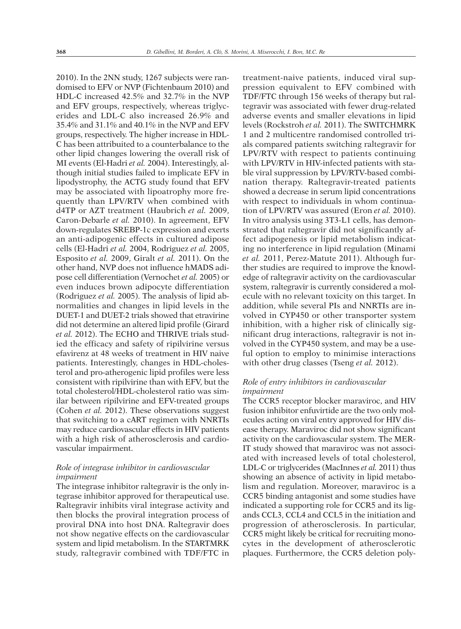2010). In the 2NN study, 1267 subjects were randomised to EFV or NVP (Fichtenbaum 2010) and HDL-C increased 42.5% and 32.7% in the NVP and EFV groups, respectively, whereas triglycerides and LDL-C also increased 26.9% and 35.4% and 31.1% and 40.1% in the NVP and EFV groups, respectively. The higher increase in HDL-C has been attribuited to a counterbalance to the other lipid changes lowering the overall risk of MI events (El-Hadri *et al.* 2004). Interestingly, although initial studies failed to implicate EFV in lipodystrophy, the ACTG study found that EFV may be associated with lipoatrophy more frequently than LPV/RTV when combined with d4TP or AZT treatment (Haubrich *et al.* 2009, Caron-Debarle *et al.* 2010). In agreement, EFV down-regulates SREBP-1c expression and exerts an anti-adipogenic effects in cultured adipose cells (El-Hadri *et al.* 2004, Rodriguez *et al.* 2005, Esposito *et al.* 2009, Giralt *et al.* 2011). On the other hand, NVP does not influence hMADS adipose cell differentiation (Vernochet *et al.* 2005) or even induces brown adipocyte differentiation (Rodriguez *et al.* 2005). The analysis of lipid abnormalities and changes in lipid levels in the DUET-1 and DUET-2 trials showed that etravirine did not determine an altered lipid profile (Girard *et al.* 2012). The ECHO and THRIVE trials studied the efficacy and safety of ripilvirine versus efavirenz at 48 weeks of treatment in HIV naive patients. Interestingly, changes in HDL-cholesterol and pro-atherogenic lipid profiles were less consistent with ripilvirine than with EFV, but the total cholesterol/HDL-cholesterol ratio was similar between ripilvirine and EFV-treated groups (Cohen *et al.* 2012). These observations suggest that switching to a cART regimen with NNRTIs may reduce cardiovascular effects in HIV patients with a high risk of atherosclerosis and cardiovascular impairment.

# *Role of integrase inhibitor in cardiovascular impairment*

The integrase inhibitor raltegravir is the only integrase inhibitor approved for therapeutical use. Raltegravir inhibits viral integrase activity and then blocks the proviral integration process of proviral DNA into host DNA. Raltegravir does not show negative effects on the cardiovascular system and lipid metabolism. In the STARTMRK study, raltegravir combined with TDF/FTC in

treatment-naive patients, induced viral suppression equivalent to EFV combined with TDF/FTC through 156 weeks of therapy but raltegravir was associated with fewer drug-related adverse events and smaller elevations in lipid levels (Rockstroh *et al.* 2011). The SWITCHMRK 1 and 2 multicentre randomised controlled trials compared patients switching raltegravir for LPV/RTV with respect to patients continuing with LPV/RTV in HIV-infected patients with stable viral suppression by LPV/RTV-based combination therapy. Raltegravir-treated patients showed a decrease in serum lipid concentrations with respect to individuals in whom continuation of LPV/RTV was assured (Eron *et al.* 2010). In vitro analysis using 3T3-L1 cells, has demonstrated that raltegravir did not significantly affect adipogenesis or lipid metabolism indicating no interference in lipid regulation (Minami *et al.* 2011, Perez-Matute 2011). Although further studies are required to improve the knowledge of raltegravir activity on the cardiovascular system, raltegravir is currently considered a molecule with no relevant toxicity on this target. In addition, while several PIs and NNRTIs are involved in CYP450 or other transporter system inhibition, with a higher risk of clinically significant drug interactions, raltegravir is not involved in the CYP450 system, and may be a useful option to employ to minimise interactions with other drug classes (Tseng *et al.* 2012).

## *Role of entry inhibitors in cardiovascular impairment*

The CCR5 receptor blocker maraviroc, and HIV fusion inhibitor enfuvirtide are the two only molecules acting on viral entry approved for HIV disease therapy. Maraviroc did not show significant activity on the cardiovascular system. The MER-IT study showed that maraviroc was not associated with increased levels of total cholesterol, LDL-C or triglycerides (MacInnes *et al.* 2011) thus showing an absence of activity in lipid metabolism and regulation. Moreover, maraviroc is a CCR5 binding antagonist and some studies have indicated a supporting role for CCR5 and its ligands CCL3, CCL4 and CCL5 in the initiation and progression of atherosclerosis. In particular, CCR5 might likely be critical for recruiting monocytes in the development of atherosclerotic plaques. Furthermore, the CCR5 deletion poly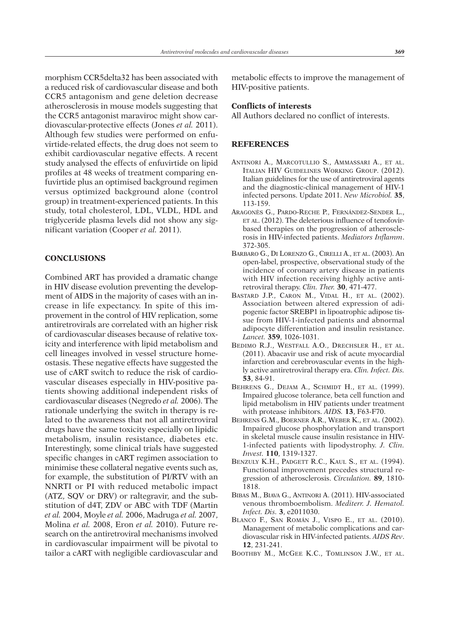morphism CCR5delta32 has been associated with a reduced risk of cardiovascular disease and both CCR5 antagonism and gene deletion decrease atherosclerosis in mouse models suggesting that the CCR5 antagonist maraviroc might show cardiovascular-protective effects (Jones *et al.* 2011). Although few studies were performed on enfuvirtide-related effects, the drug does not seem to exhibit cardiovascular negative effects. A recent study analysed the effects of enfuvirtide on lipid profiles at 48 weeks of treatment comparing enfuvirtide plus an optimised background regimen versus optimized background alone (control group) in treatment-experienced patients. In this study, total cholesterol, LDL, VLDL, HDL and triglyceride plasma levels did not show any significant variation (Cooper *et al.* 2011).

#### **CONCLUSIONS**

Combined ART has provided a dramatic change in HIV disease evolution preventing the development of AIDS in the majority of cases with an increase in life expectancy. In spite of this improvement in the control of HIV replication, some antiretrovirals are correlated with an higher risk of cardiovascular diseases because of relative toxicity and interference with lipid metabolism and cell lineages involved in vessel structure homeostasis. These negative effects have suggested the use of cART switch to reduce the risk of cardiovascular diseases especially in HIV-positive patients showing additional independent risks of cardiovascular diseases (Negredo *et al.* 2006). The rationale underlying the switch in therapy is related to the awareness that not all antiretroviral drugs have the same toxicity especially on lipidic metabolism, insulin resistance, diabetes etc. Interestingly, some clinical trials have suggested specific changes in cART regimen association to minimise these collateral negative events such as, for example, the substitution of PI/RTV with an NNRTI or PI with reduced metabolic impact (ATZ, SQV or DRV) or raltegravir, and the substitution of d4T, ZDV or ABC with TDF (Martin *et al.* 2004, Moyle *et al.* 2006, Madruga *et al.* 2007, Molina *et al.* 2008, Eron *et al.* 2010). Future research on the antiretroviral mechanisms involved in cardiovascular impairment will be pivotal to tailor a cART with negligible cardiovascular and

metabolic effects to improve the management of HIV-positive patients.

## **Conflicts of interests**

All Authors declared no conflict of interests.

#### **REFERENCES**

- ANTINORI A., MARCOTULLIO S., AMMASSARI A., ET AL. ITALIAN HIV GUIDELINES WORKING GROUP. (2012). Italian guidelines for the use of antiretroviral agents and the diagnostic-clinical management of HIV-1 infected persons. Update 2011. *New Microbiol.* **35**, 113-159.
- ARAGONÈS G., PARDO-RECHE P., FERNÁNDEZ-SENDER L., ET AL. (2012). The deleterious influence of tenofovirbased therapies on the progression of atherosclerosis in HIV-infected patients. *Mediators Inflamm*. 372-305.
- BARBARO G., DI LORENZO G., CIRELLI A., ET AL. (2003). An open-label, prospective, observational study of the incidence of coronary artery disease in patients with HIV infection receiving highly active antiretroviral therapy. *Clin. Ther.* **30**, 471-477.
- BASTARD J.P., CARON M., VIDAL H., ET AL. (2002). Association between altered expression of adipogenic factor SREBP1 in lipoatrophic adipose tissue from HIV-1-infected patients and abnormal adipocyte differentiation and insulin resistance. *Lancet.* **359**, 1026-1031.
- BEDIMO R.J., WESTFALL A.O., DRECHSLER H., ET AL. (2011). Abacavir use and risk of acute myocardial infarction and cerebrovascular events in the highly active antiretroviral therapy era. *Clin. Infect. Dis.* **53**, 84-91.
- BEHRENS G., DEJAM A., SCHMIDT H., ET AL. (1999). Impaired glucose tolerance, beta cell function and lipid metabolism in HIV patients under treatment with protease inhibitors. *AIDS.* **13**, F63-F70.
- BEHRENS G.M., BOERNER A.R., WEBER K., ET AL. (2002). Impaired glucose phosphorylation and transport in skeletal muscle cause insulin resistance in HIV-1-infected patients with lipodystrophy. *J. Clin. Invest.* **110**, 1319-1327.
- BENZULY K.H., PADGETT R.C., KAUL S., ET AL. (1994). Functional improvement precedes structural regression of atherosclerosis. *Circulation.* **89**, 1810- 1818.
- BIBAS M., BIAVA G., ANTINORI A. (2011). HIV-associated venous thromboembolism. *Mediterr. J. Hematol. Infect. Dis.* **3**, e2011030.
- BLANCO F., SAN ROMÁN J., VISPO E., ET AL. (2010). Management of metabolic complications and cardiovascular risk in HIV-infected patients. *AIDS Rev*. **12**, 231-241.
- BOOTHBY M., MCGEE K.C., TOMLINSON J.W., ET AL.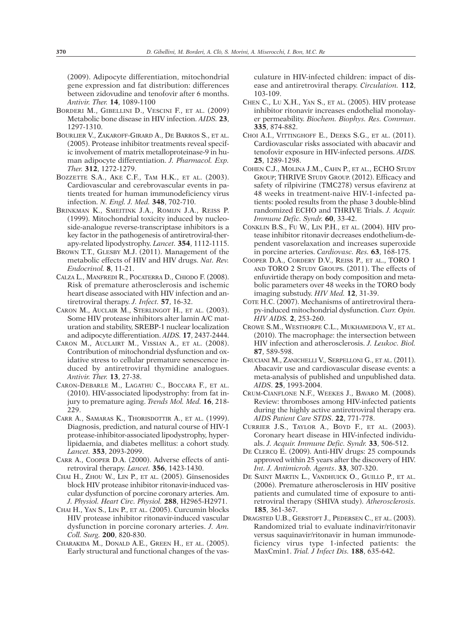(2009). Adipocyte differentiation, mitochondrial gene expression and fat distribution: differences between zidovudine and tenofovir after 6 months. *Antivir. Ther.* **14**, 1089-1100

- BORDERI M., GIBELLINI D., VESCINI F., ET AL. (2009) Metabolic bone disease in HIV infection. *AIDS.* **23**, 1297-1310.
- BOURLIER V., ZAKAROFF-GIRARD A., DE BARROS S., ET AL. (2005). Protease inhibitor treatments reveal specific involvement of matrix metalloproteinase-9 in human adipocyte differentiation. *J. Pharmacol. Exp. Ther.* **312**, 1272-1279.
- BOZZETTE S.A., AKE C.F., TAM H.K., ET AL. (2003). Cardiovascular and cerebrovascular events in patients treated for human immunodeficiency virus infection. *N. Engl. J. Med.* **348**, 702-710.
- BRINKMAN K., SMEITINK J.A., ROMIJN J.A., REISS P. (1999). Mitochondrial toxicity induced by nucleoside-analogue reverse-transcriptase inhibitors is a key factor in the pathogenesis of antiretroviral-therapy-related lipodystrophy. *Lancet.* **354**, 1112-1115.
- BROWN T.T., GLESBY M.J. (2011). Management of the metabolic effects of HIV and HIV drugs. *Nat. Rev. Endocrinol.* **8**, 11-21.
- CALZA L., MANFREDI R., POCATERRA D., CHIODO F. (2008). Risk of premature atherosclerosis and ischemic heart disease associated with HIV infection and antiretroviral therapy. *J. Infect.* **57**, 16-32.
- CARON M., AUCLAIR M., STERLINGOT H., ET AL. (2003). Some HIV protease inhibitors alter lamin A/C maturation and stability, SREBP-1 nuclear localization and adipocyte differentiation. *AIDS.* **17**, 2437-2444.
- CARON M., AUCLAIRT M., VISSIAN A., ET AL. (2008). Contribution of mitochondrial dysfunction and oxidative stress to cellular premature senescence induced by antiretroviral thymidine analogues. *Antivir. Ther.* **13**, 27-38.
- CARON-DEBARLE M., LAGATHU C., BOCCARA F., ET AL. (2010). HIV-associated lipodystrophy: from fat injury to premature aging. *Trends Mol. Med.* **16**, 218- 229.
- CARR A., SAMARAS K., THORISDOTTIR A., ET AL. (1999). Diagnosis, prediction, and natural course of HIV-1 protease-inhibitor-associated lipodystrophy, hyperlipidaemia, and diabetes mellitus: a cohort study. *Lancet.* **353**, 2093-2099.
- CARR A., COOPER D.A. (2000). Adverse effects of antiretroviral therapy. *Lancet.* **356**, 1423-1430.
- CHAI H., ZHOU W., LIN P., ET AL. (2005). Ginsenosides block HIV protease inhibitor ritonavir-induced vascular dysfunction of porcine coronary arteries. Am. *J. Physiol. Heart Circ. Physiol.* **288**, H2965-H2971.
- CHAI H., YAN S., LIN P., ET AL. (2005). Curcumin blocks HIV protease inhibitor ritonavir-induced vascular dysfunction in porcine coronary arteries. *J. Am. Coll. Surg.* **200**, 820-830.
- CHARAKIDA M., DONALD A.E., GREEN H., ET AL. (2005). Early structural and functional changes of the vas-

culature in HIV-infected children: impact of disease and antiretroviral therapy. *Circulation.* **112**, 103-109.

- CHEN C., LU X.H., YAN S., ET AL. (2005). HIV protease inhibitor ritonavir increases endothelial monolayer permeability. *Biochem. Biophys. Res. Commun*. **335**, 874-882.
- CHOI A.I., VITTINGHOFF E., DEEKS S.G., ET AL. (2011). Cardiovascular risks associated with abacavir and tenofovir exposure in HIV-infected persons. *AIDS.* **25**, 1289-1298.
- COHEN C.J., MOLINA J.M., CAHN P., ET AL., ECHO STUDY GROUP; THRIVE STUDY GROUP. (2012). Efficacy and safety of rilpivirine (TMC278) versus efavirenz at 48 weeks in treatment-naive HIV-1-infected patients: pooled results from the phase 3 double-blind randomized ECHO and THRIVE Trials. *J. Acquir. Immune Defic. Syndr.* **60**, 33-42.
- CONKLIN B.S., FU W., LIN P.H., ET AL. (2004). HIV protease inhibitor ritonavir decreases endothelium-dependent vasorelaxation and increases superoxide in porcine arteries. *Cardiovasc. Res.* **63**, 168-175.
- COOPER D.A., CORDERY D.V., REISS P., ET AL., TORO 1 AND TORO 2 STUDY GROUPS. (2011). The effects of enfuvirtide therapy on body composition and metabolic parameters over 48 weeks in the TORO body imaging substudy. *HIV Med.* **12**, 31-39.
- COTE H.C. (2007). Mechanisms of antiretroviral therapy-induced mitochondrial dysfunction. *Curr. Opin. HIV AIDS.* **2**, 253-260.
- CROWE S.M., WESTHORPE C.L., MUKHAMEDOVA V., ET AL. (2010). The macrophage: the intersection between HIV infection and atherosclerosis. *J. Leukoc. Biol.* **87**, 589-598.
- CRUCIANI M., ZANICHELLI V., SERPELLONI G., ET AL. (2011). Abacavir use and cardiovascular disease events: a meta-analysis of published and unpublished data. *AIDS*. **25**, 1993-2004.
- CRUM-CIANFLONE N.F., WEEKES J., BAVARO M. (2008). Review: thromboses among HIV-infected patients during the highly active antiretroviral therapy era. *AIDS Patient Care STDS*. **22**, 771-778.
- CURRIER J.S., TAYLOR A., BOYD F., ET AL. (2003). Coronary heart disease in HIV-infected individuals. *J. Acquir. Immune Defic. Syndr.* **33**, 506-512.
- DE CLERCQ E. (2009). Anti-HIV drugs: 25 compounds approved within 25 years after the discovery of HIV. *Int. J. Antimicrob. Agents*. **33**, 307-320.
- DE SAINT MARTIN L., VANDHUICK O., GUILLO P., ET AL. (2006). Premature atherosclerosis in HIV positive patients and cumulated time of exposure to antiretroviral therapy (SHIVA study). *Atherosclerosis.* **185**, 361-367.
- DRAGSTED U.B., GERSTOFT J., PEDERSEN C., ET AL. (2003). Randomized trial to evaluate indinavir/ritonavir versus saquinavir/ritonavir in human immunodeficiency virus type 1-infected patients: the MaxCmin1. *Trial. J Infect Dis.* **188**, 635-642.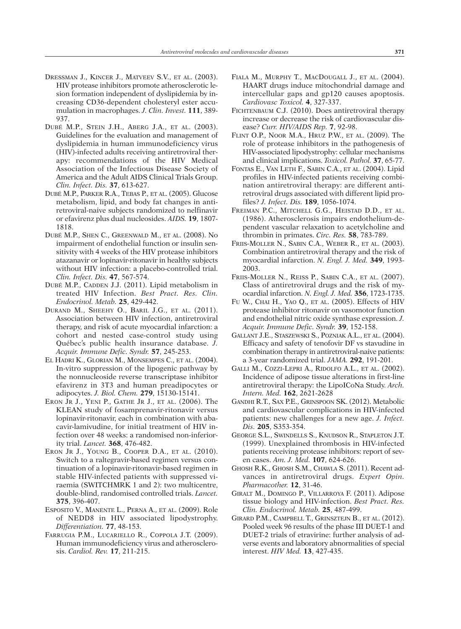- DRESSMAN J., KINCER J., MATVEEV S.V., ET AL. (2003). HIV protease inhibitors promote atherosclerotic lesion formation independent of dyslipidemia by increasing CD36-dependent cholesteryl ester accumulation in macrophages. *J. Clin. Invest.* **111**, 389- 937.
- DUBÉ M.P., STEIN J.H., ABERG J.A., ET AL. (2003). Guidelines for the evaluation and management of dyslipidemia in human immunodeficiency virus (HIV)-infected adults receiving antiretroviral therapy: recommendations of the HIV Medical Association of the Infectious Disease Society of America and the Adult AIDS Clinical Trials Group. *Clin. Infect. Dis.* **37**, 613-627.
- DUBÉ M.P., PARKER R.A., TEBAS P., ET AL. (2005). Glucose metabolism, lipid, and body fat changes in antiretroviral-naive subjects randomized to nelfinavir or efavirenz plus dual nucleosides. *AIDS.* **19**, 1807- 1818.
- DUBÉ M.P., SHEN C., GREENWALD M., ET AL. (2008). No impairment of endothelial function or insulin sensitivity with 4 weeks of the HIV protease inhibitors atazanavir or lopinavir-ritonavir in healthy subjects without HIV infection: a placebo-controlled trial. *Clin. Infect. Dis.* **47**, 567-574.
- DUBÉ M.P., CADDEN J.J. (2011). Lipid metabolism in treated HIV Infection. *Best Pract. Res. Clin. Endocrinol. Metab.* **25**, 429-442.
- DURAND M., SHEEHY O., BARIL J.G., ET AL. (2011). Association between HIV infection, antiretroviral therapy, and risk of acute myocardial infarction: a cohort and nested case-control study using Québec's public health insurance database. *J. Acquir. Immune Defic. Syndr.* **57**, 245-253.
- EL HADRI K., GLORIAN M., MONSEMPES C., ET AL. (2004). In-vitro suppression of the lipogenic pathway by the nonnucleoside reverse transcriptase inhibitor efavirenz in 3T3 and human preadipocytes or adipocytes. *J. Biol. Chem.* **279**, 15130-15141.
- ERON JR J., YENI P., GATHE JR J., ET AL. (2006). The KLEAN study of fosamprenavir-ritonavir versus lopinavir-ritonavir, each in combination with abacavir-lamivudine, for initial treatment of HIV infection over 48 weeks: a randomised non-inferiority trial. *Lancet.* **368**, 476-482.
- ERON JR J., YOUNG B., COOPER D.A., ET AL. (2010). Switch to a raltegravir-based regimen versus continuation of a lopinavir-ritonavir-based regimen in stable HIV-infected patients with suppressed viraemia (SWITCHMRK 1 and 2): two multicentre, double-blind, randomised controlled trials. *Lancet.* **375**, 396-407.
- ESPOSITO V., MANENTE L., PERNA A., ET AL. (2009). Role of NEDD8 in HIV associated lipodystrophy. *Differentiation.* **77**, 48-153.
- FARRUGIA P.M., LUCARIELLO R., COPPOLA J.T. (2009). Human immunodeficiency virus and atherosclerosis. *Cardiol. Rev.* **17**, 211-215.
- FIALA M., MURPHY T., MACDOUGALL J., ET AL. (2004). HAART drugs induce mitochondrial damage and intercellular gaps and gp120 causes apoptosis. *Cardiovasc Toxicol.* **4**, 327-337.
- FICHTENBAUM C.J. (2010). Does antiretroviral therapy increase or decrease the risk of cardiovascular disease? *Curr. HIV/AIDS Rep.* **7**, 92-98.
- FLINT O.P., NOOR M.A., HRUZ P.W., ET AL. (2009). The role of protease inhibitors in the pathogenesis of HIV-associated lipodystrophy: cellular mechanisms and clinical implications. *Toxicol. Pathol.* **37**, 65-77.
- FONTAS E., VAN LETH F., SABIN C.A., ET AL. (2004). Lipid profiles in HIV-infected patients receiving combination antiretroviral therapy: are different antiretroviral drugs associated with different lipid profiles? *J. Infect. Dis.* **189**, 1056-1074.
- FREIMAN P.C., MITCHELL G.G., HEISTAD D.D., ET AL. (1986). Atherosclerosis impairs endothelium-dependent vascular relaxation to acetylcholine and thrombin in primates. *Circ. Res.* **58**, 783-789.
- FRIIS-MOLLER N., SABIN C.A., WEBER R., ET AL. (2003). Combination antiretroviral therapy and the risk of myocardial infarction. *N. Engl. J. Med.* **349**, 1993- 2003.
- FRIIS-MOLLER N., REISS P., SABIN C.A., ET AL. (2007). Class of antiretroviral drugs and the risk of myocardial infarction. *N. Engl. J. Med.* **356**, 1723-1735.
- FU W., CHAI H., YAO Q., ET AL. (2005). Effects of HIV protease inhibitor ritonavir on vasomotor function and endothelial nitric oxide synthase expression. *J. Acquir. Immune Defic. Syndr.* **39**, 152-158.
- GALLANT J.E., STASZEWSKI S., POZNIAK A.L., ET AL. (2004). Efficacy and safety of tenofovir DF vs stavudine in combination therapy in antiretroviral-naive patients: a 3-year randomized trial. *JAMA.* **292**, 191-201.
- GALLI M., COZZI-LEPRI A., RIDOLFO A.L., ET AL. (2002). Incidence of adipose tissue alterations in first-line antiretroviral therapy: the LipoICoNa Study. *Arch. Intern. Med.* **162**, 2621-2628
- GANDHI R.T., SAX P.E., GRINSPOON SK. (2012). Metabolic and cardiovascular complications in HIV-infected patients: new challenges for a new age. *J. Infect. Dis.* **205**, S353-354.
- GEORGE S.L., SWINDELLS S., KNUDSON R., STAPLETON J.T. (1999). Unexplained thrombosis in HIV-infected patients receiving protease inhibitors: report of seven cases. *Am. J. Med.* **107**, 624-626.
- GHOSH R.K., GHOSH S.M., CHAWLA S. (2011). Recent advances in antiretroviral drugs. *Expert Opin. Pharmacother.* **12**, 31-46.
- GIRALT M., DOMINGO P., VILLARROYA F. (2011). Adipose tissue biology and HIV-infection. *Best Pract. Res. Clin. Endocrinol. Metab.* **25**, 487-499.
- GIRARD P.M., CAMPBELL T., GRINSZTEJN B., ET AL. (2012). Pooled week 96 results of the phase III DUET-1 and DUET-2 trials of etravirine: further analysis of adverse events and laboratory abnormalities of special interest. *HIV Med.* **13**, 427-435.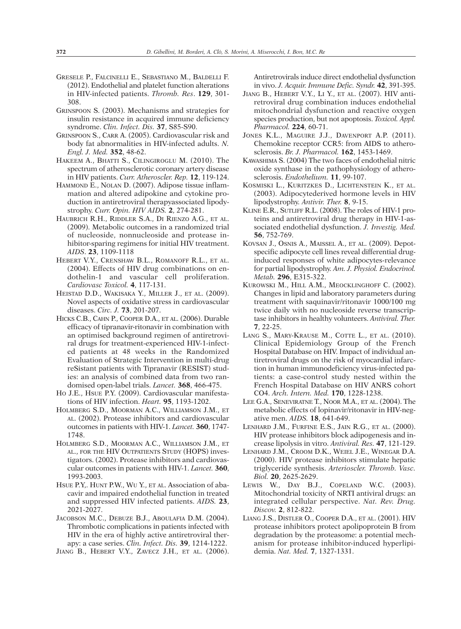- GRESELE P., FALCINELLI E., SEBASTIANO M., BALDELLI F. (2012). Endothelial and platelet function alterations in HIV-infected patients. *Thromb. Res*. **129**, 301- 308.
- GRINSPOON S. (2003). Mechanisms and strategies for insulin resistance in acquired immune deficiency syndrome. *Clin. Infect. Dis.* **37**, S85-S90.
- GRINSPOON S., CARR A. (2005). Cardiovascular risk and body fat abnormalities in HIV-infected adults. *N. Engl. J. Med.* **352**, 48-62.
- HAKEEM A., BHATTI S., CILINGIROGLU M. (2010). The spectrum of atherosclerotic coronary artery disease in HIV patients. *Curr. Atheroscler. Rep.* **12**, 119-124.
- HAMMOND E., NOLAN D. (2007). Adipose tissue inflammation and altered adipokine and cytokine production in antiretroviral therapyassociated lipodystrophy. *Curr. Opin. HIV AIDS.* **2**, 274-281.
- HAUBRICH R.H., RIDDLER S.A., DI RIENZO A.G., ET AL. (2009). Metabolic outcomes in a randomized trial of nucleoside, nonnucleoside and protease inhibitor-sparing regimens for initial HIV treatment. *AIDS*. **23**, 1109-1118
- HEBERT V.Y., CRENSHAW B.L., ROMANOFF R.L., ET AL. (2004). Effects of HIV drug combinations on endothelin-1 and vascular cell proliferation. *Cardiovasc Toxicol.* **4**, 117-131.
- HEISTAD D.D., WAKISAKA Y., MILLER J., ET AL. (2009). Novel aspects of oxidative stress in cardiovascular diseases. *Circ. J.* **73**, 201-207.
- HICKS C.B., CAHN P., COOPER D.A., ET AL. (2006). Durable efficacy of tipranavir-ritonavir in combination with an optimised background regimen of antiretroviral drugs for treatment-experienced HIV-1-infected patients at 48 weeks in the Randomized Evaluation of Strategic Intervention in multi-drug reSistant patients with Tipranavir (RESIST) studies: an analysis of combined data from two randomised open-label trials. *Lancet.* **368**, 466-475.
- HO J.E., HSUE P.Y. (2009). Cardiovascular manifestations of HIV infection. *Heart.* **95**, 1193-1202.
- HOLMBERG S.D., MOORMAN A.C., WILLIAMSON J.M., ET AL. (2002). Protease inhibitors and cardiovascular outcomes in patients with HIV-1. *Lancet.* **360**, 1747- 1748.
- HOLMBERG S.D., MOORMAN A.C., WILLIAMSON J.M., ET AL., FOR THE HIV OUTPATIENTS STUDY (HOPS) investigators. (2002). Protease inhibitors and cardiovascular outcomes in patients with HIV-1. *Lancet.* **360**, 1993-2003.
- HSUE P.Y,. HUNT P.W., WU Y., ET AL. Association of abacavir and impaired endothelial function in treated and suppressed HIV infected patients. *AIDS.* **23**, 2021-2027.
- JACOBSON M.C., DEBUZE B.J., ABOULAFIA D.M. (2004). Thrombotic complications in patients infected with HIV in the era of highly active antiretroviral therapy: a case series. *Clin. Infect. Dis.* **39**, 1214-1222.
- JIANG B., HEBERT V.Y., ZAVECZ J.H., ET AL. (2006).

Antiretrovirals induce direct endothelial dysfunction in vivo. *J. Acquir. Immune Defic. Syndr.* **42**, 391-395.

- JIANG B., HEBERT V.Y., LI Y., ET AL. (2007). HIV antiretroviral drug combination induces endothelial mitochondrial dysfunction and reactive oxygen species production, but not apoptosis. *Toxicol. Appl. Pharmacol.* **224**, 60-71.
- JONES K.L., MAGUIRE J.J., DAVENPORT A.P. (2011). Chemokine receptor CCR5: from AIDS to atherosclerosis. *Br. J. Pharmacol.* **162**, 1453-1469.
- KAWASHIMA S. (2004) The two faces of endothelial nitric oxide synthase in the pathophysiology of atherosclerosis. *Endothelium.* **11**, 99-107.
- KOSMISKI L., KURITZKES D., LICHTENSTEIN K., ET AL. (2003). Adipocytederived hormone levels in HIV lipodystrophy. *Antivir. Ther.* **8**, 9-15.
- KLINE E.R., SUTLIFF R.L. (2008). The roles of HIV-1 proteins and antiretroviral drug therapy in HIV-1-associated endothelial dysfunction. *J. Investig. Med.* **56**, 752-769.
- KOVSAN J., OSNIS A., MAISSEL A., ET AL. (2009). Depotspecific adipocyte cell lines reveal differential druginduced responses of white adipocytes-relevance for partial lipodystrophy. *Am. J. Physiol. Endocrinol. Metab.* **296**, E315-322.
- KUROWSKI M., HILL A.M., MEOCKLINGHOFF C. (2002). Changes in lipid and laboratory parameters during treatment with saquinavir/ritonavir 1000/100 mg twice daily with no nucleoside reverse transcriptase inhibitors in healthy volunteers. *Antiviral. Ther.* **7**, 22-25.
- LANG S., MARY-KRAUSE M., COTTE L., ET AL. (2010). Clinical Epidemiology Group of the French Hospital Database on HIV. Impact of individual antiretroviral drugs on the risk of myocardial infarction in human immunodeficiency virus-infected patients: a case-control study nested within the French Hospital Database on HIV ANRS cohort CO4. *Arch. Intern. Med.* **170**, 1228-1238.
- LEE G.A., SENEVIRATNE T., NOOR M.A., ET AL. (2004). The metabolic effects of lopinavir/ritonavir in HIV-negative men. *AIDS.* **18**, 641-649.
- LENHARD J.M., FURFINE E.S., JAIN R.G., ET AL. (2000). HIV protease inhibitors block adipogenesis and increase lipolysis in vitro. *Antiviral. Res.* **47**, 121-129.
- LENHARD J.M., CROOM D.K., WEIEL J.E., WINEGAR D.A. (2000). HIV protease inhibitors stimulate hepatic triglyceride synthesis. *Arterioscler. Thromb. Vasc. Biol.* **20**, 2625-2629.
- LEWIS W., DAY B.J., COPELAND W.C. (2003). Mitochondrial toxicity of NRTI antiviral drugs: an integrated cellular perspective. *Nat. Rev. Drug. Discov.* **2**, 812-822.
- LIANG J.S., DISTLER O., COOPER D.A., ET AL. (2001). HIV protease inhibitors protect apolipoprotein B from degradation by the proteasome: a potential mechanism for protease inhibitor-induced hyperlipidemia. *Nat. Med.* **7**, 1327-1331.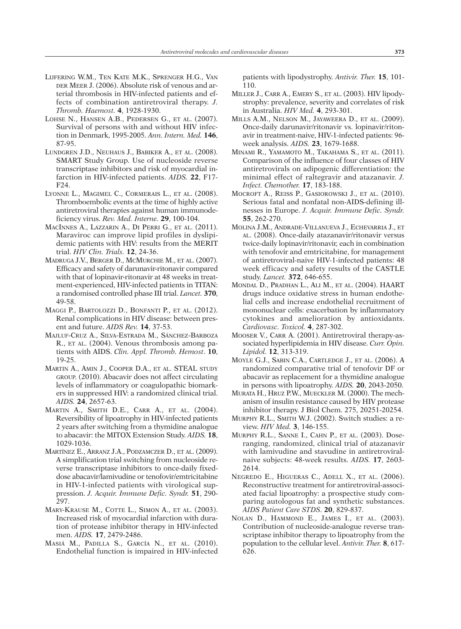- LIJFERING W.M., TEN KATE M.K., SPRENGER H.G., VAN DER MEER J. (2006). Absolute risk of venous and arterial thrombosis in HIV-infected patients and effects of combination antiretroviral therapy. *J. Thromb. Haemost.* **4**, 1928-1930.
- LOHSE N., HANSEN A.B., PEDERSEN G., ET AL. (2007). Survival of persons with and without HIV infection in Denmark, 1995-2005. *Ann. Intern. Med.* **146**, 87-95.
- LUNDGREN J.D., NEUHAUS J., BABIKER A., ET AL. (2008). SMART Study Group. Use of nucleoside reverse transcriptase inhibitors and risk of myocardial infarction in HIV-infected patients. *AIDS.* **22**, F17- F24.
- LYONNE L., MAGIMEL C., CORMERAIS L., ET AL. (2008). Thromboembolic events at the time of highly active antiretroviral therapies against human immunodeficiency virus. *Rev. Med. Interne.* **29**, 100-104.
- MACINNES A., LAZZARIN A., DI PERRI G., ET AL. (2011). Maraviroc can improve lipid profiles in dyslipidemic patients with HIV: results from the MERIT trial. *HIV Clin. Trials.* **12**, 24-36.
- MADRUGA J.V., BERGER D., MCMURCHIE M., ET AL. (2007). Efficacy and safety of darunavir-ritonavir compared with that of lopinavir-ritonavir at 48 weeks in treatment-experienced, HIV-infected patients in TITAN: a randomised controlled phase III trial. *Lancet.* **370**, 49-58.
- MAGGI P., BARTOLOZZI D., BONFANTI P., ET AL. (2012). Renal complications in HIV disease: between present and future. *AIDS Rev.* **14**, 37-53.
- MAJLUF-CRUZ A., SILVA-ESTRADA M., SÁNCHEZ-BARBOZA R., ET AL. (2004). Venous thrombosis among patients with AIDS. *Clin. Appl. Thromb. Hemost*. **10**, 19-25.
- MARTIN A., AMIN J., COOPER D.A., ET AL. STEAL STUDY GROUP. (2010). Abacavir does not affect circulating levels of inflammatory or coagulopathic biomarkers in suppressed HIV: a randomized clinical trial. *AIDS.* **24**, 2657-63.
- MARTIN A., SMITH D.E., CARR A., ET AL. (2004). Reversibility of lipoatrophy in HIV-infected patients 2 years after switching from a thymidine analogue to abacavir: the MITOX Extension Study. *AIDS.* **18**, 1029-1036.
- MARTÍNEZ E., ARRANZ J.A., PODZAMCZER D., ET AL. (2009). A simplification trial switching from nucleoside reverse transcriptase inhibitors to once-daily fixeddose abacavir/lamivudine or tenofovir/emtricitabine in HIV-1-infected patients with virological suppression. *J. Acquir. Immune Defic. Syndr.* **51**, 290- 297.
- MARY-KRAUSE M., COTTE L., SIMON A., ET AL. (2003). Increased risk of myocardial infarction with duration of protease inhibitor therapy in HIV-infected men. *AIDS.* **17**, 2479-2486.
- MASIÁ M., PADILLA S., GARCÍA N., ET AL. (2010). Endothelial function is impaired in HIV-infected

patients with lipodystrophy. *Antivir. Ther.* **15**, 101- 110.

- MILLER J., CARR A., EMERY S., ET AL. (2003). HIV lipodystrophy: prevalence, severity and correlates of risk in Australia. *HIV Med.* **4**, 293-301.
- MILLS A.M., NELSON M., JAYAWEERA D., ET AL. (2009). Once-daily darunavir/ritonavir vs. lopinavir/ritonavir in treatment-naive, HIV-1-infected patients: 96 week analysis. *AIDS.* **23**, 1679-1688.
- MINAMI R., YAMAMOTO M., TAKAHAMA S., ET AL. (2011). Comparison of the influence of four classes of HIV antiretrovirals on adipogenic differentiation: the minimal effect of raltegravir and atazanavir. *J. Infect. Chemother.* **17**, 183-188.
- MOCROFT A., REISS P., GASIOROWSKI J., ET AL. (2010). Serious fatal and nonfatal non-AIDS-defining illnesses in Europe. *J. Acquir. Immune Defic. Syndr.* **55**, 262-270.
- MOLINA J.M., ANDRADE-VILLANUEVA J., ECHEVARRIA J., ET AL. (2008). Once-daily atazanavir/ritonavir versus twice-daily lopinavir/ritonavir, each in combination with tenofovir and emtricitabine, for management of antiretroviral-naive HIV-1-infected patients: 48 week efficacy and safety results of the CASTLE study. *Lancet.* **372**, 646-655.
- MONDAL D., PRADHAN L., ALI M., ET AL. (2004). HAART drugs induce oxidative stress in human endothelial cells and increase endothelial recruitment of mononuclear cells: exacerbation by inflammatory cytokines and amelioration by antioxidants. *Cardiovasc. Toxicol.* **4**, 287-302.
- MOOSER V., CARR A. (2001). Antiretroviral therapy-associated hyperlipidemia in HIV disease. *Curr. Opin. Lipidol.* **12**, 313-319.
- MOYLE G.J., SABIN C.A., CARTLEDGE J., ET AL. (2006). A randomized comparative trial of tenofovir DF or abacavir as replacement for a thymidine analogue in persons with lipoatrophy. *AIDS.* **20**, 2043-2050.
- MURATA H., HRUZ P.W., MUECKLER M. (2000). The mechanism of insulin resistance caused by HIV protease inhibitor therapy. J Biol Chem. 275, 20251-20254.
- MURPHY R.L., SMITH W.J. (2002). Switch studies: a review. *HIV Med.* **3**, 146-155.
- MURPHY R.L., SANNE I., CAHN P., ET AL. (2003). Doseranging, randomized, clinical trial of atazanavir with lamivudine and stavudine in antiretroviralnaive subjects: 48-week results. *AIDS.* **17**, 2603- 2614.
- NEGREDO E., HIGUERAS C., ADELL X., ET AL. (2006). Reconstructive treatment for antiretroviral-associated facial lipoatrophy: a prospective study comparing autologous fat and synthetic substances. *AIDS Patient Care STDS*. **20**, 829-837.
- NOLAN D., HAMMOND E., JAMES I., ET AL. (2003). Contribution of nucleoside-analogue reverse transcriptase inhibitor therapy to lipoatrophy from the population to the cellular level. *Antivir. Ther.* **8**, 617- 626.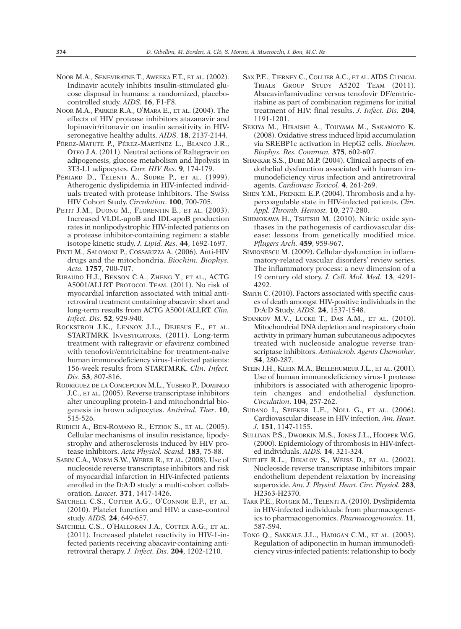- NOOR M.A., SENEVIRATNE T., AWEEKA F.T., ET AL. (2002). Indinavir acutely inhibits insulin-stimulated glucose disposal in humans: a randomized, placebocontrolled study. *AIDS.* **16**, F1-F8.
- NOOR M.A., PARKER R.A., O'MARA E., ET AL. (2004). The effects of HIV protease inhibitors atazanavir and lopinavir/ritonavir on insulin sensitivity in HIVseronegative healthy adults. *AIDS*. **18**, 2137-2144.
- PÉREZ-MATUTE P., PÉREZ-MARTÍNEZ L., BLANCO J.R., OTEO J.A. (2011). Neutral actions of Raltegravir on adipogenesis, glucose metabolism and lipolysis in 3T3-L1 adipocytes. *Curr. HIV Res.* **9**, 174-179.
- PÉRIARD D., TELENTI A., SUDRE P., ET AL. (1999). Atherogenic dyslipidemia in HIV-infected individuals treated with protease inhibitors. The Swiss HIV Cohort Study. *Circulation*. **100**, 700-705.
- PETIT J.M., DUONG M., FLORENTIN E., ET AL. (2003). Increased VLDL-apoB and IDL-apoB production rates in nonlipodystrophic HIV-infected patients on a protease inhibitor-containing regimen: a stable isotope kinetic study. *J. Lipid. Res.* **44**, 1692-1697.
- PINTI M., SALOMONI P., COSSARIZZA A. (2006). Anti-HIV drugs and the mitochondria. *Biochim. Biophys. Acta.* **1757**, 700-707.
- RIBAUDO H.J., BENSON C.A., ZHENG Y., ET AL., ACTG A5001/ALLRT PROTOCOL TEAM. (2011). No risk of myocardial infarction associated with initial antiretroviral treatment containing abacavir: short and long-term results from ACTG A5001/ALLRT. *Clin. Infect. Dis.* **52**, 929-940.
- ROCKSTROH J.K., LENNOX J.L., DEJESUS E., ET AL. STARTMRK INVESTIGATORS. (2011). Long-term treatment with raltegravir or efavirenz combined with tenofovir/emtricitabine for treatment-naive human immunodeficiency virus-1-infected patients: 156-week results from STARTMRK. *Clin. Infect. Dis*. **53**, 807-816.
- RODRIGUEZ DE LA CONCEPCION M.L., YUBERO P., DOMINGO J.C., ET AL. (2005). Reverse transcriptase inhibitors alter uncoupling protein-1 and mitochondrial biogenesis in brown adipocytes. *Antiviral. Ther*. **10**, 515-526.
- RUDICH A., BEN-ROMANO R., ETZION S., ET AL. (2005). Cellular mechanisms of insulin resistance, lipodystrophy and atherosclerosis induced by HIV protease inhibitors. *Acta Physiol. Scand.* **183**, 75-88.
- SABIN C.A., WORM S.W., WEBER R., ET AL. (2008). Use of nucleoside reverse transcriptase inhibitors and risk of myocardial infarction in HIV-infected patients enrolled in the D:A:D study: a multi-cohort collaboration. *Lancet.* **371**, 1417-1426.
- SATCHELL C.S., COTTER A.G., O'CONNOR E.F., ET AL. (2010). Platelet function and HIV: a case–control study. *AIDS.* **24**, 649-657.
- SATCHELL C.S., O'HALLORAN J.A., COTTER A.G., ET AL. (2011). Increased platelet reactivity in HIV-1-infected patients receiving abacavir-containing antiretroviral therapy. *J. Infect. Dis.* **204**, 1202-1210.
- SAX P.E., TIERNEY C., COLLIER A.C., ET AL. AIDS CLINICAL TRIALS GROUP STUDY A5202 TEAM (2011). Abacavir/lamivudine versus tenofovir DF/emtricitabine as part of combination regimens for initial treatment of HIV: final results. *J. Infect. Dis.* **204**, 1191-1201.
- SEKIYA M., HIRAISHI A., TOUYAMA M., SAKAMOTO K. (2008). Oxidative stress induced lipid accumulation via SREBP1c activation in HepG2 cells. *Biochem. Biophys. Res. Commun.* **375**, 602-607.
- SHANKAR S.S., DUBÉ M.P. (2004). Clinical aspects of endothelial dysfunction associated with human immunodeficiency virus infection and antiretroviral agents. *Cardiovasc Toxicol.* **4**, 261-269.
- SHEN Y.M., FRENKEL E.P. (2004). Thrombosis and a hypercoagulable state in HIV-infected patients. *Clin. Appl. Thromb. Hemost.* **10**, 277-280.
- SHIMOKAWA H., TSUTSUI M. (2010). Nitric oxide synthases in the pathogenesis of cardiovascular disease: lessons from genetically modified mice. *Pflugers Arch.* **459**, 959-967.
- SIMIONESCU M. (2009). Cellular dysfunction in inflammatory-related vascular disorders' review series. The inflammatory process: a new dimension of a 19 century old story. *J. Cell. Mol. Med.* **13**, 4291- 4292.
- SMITH C. (2010). Factors associated with specific causes of death amongst HIV-positive individuals in the D:A:D Study. *AIDS*. **24**, 1537-1548.
- STANKOV M.V., LUCKE T., DAS A.M., ET AL. (2010). Mitochondrial DNA depletion and respiratory chain activity in primary human subcutaneous adipocytes treated with nucleoside analogue reverse transcriptase inhibitors. *Antimicrob. Agents Chemother*. **54**, 280-287.
- STEIN J.H., KLEIN M.A., BELLEHUMEUR J.L., ET AL. (2001). Use of human immunodeficiency virus-1 protease inhibitors is associated with atherogenic lipoprotein changes and endothelial dysfunction. *Circulation*. **104**, 257-262.
- SUDANO I., SPIEKER L.E., NOLL G., ET AL. (2006). Cardiovascular disease in HIV infection. *Am. Heart. J.* **151**, 1147-1155.
- SULLIVAN P.S., DWORKIN M.S., JONES J.L., HOOPER W.G. (2000). Epidemiology of thrombosis in HIV-infected individuals. *AIDS.* **14**, 321-324.
- SUTLIFF R.L., DIKALOV S., WEISS D., ET AL. (2002). Nucleoside reverse transcriptase inhibitors impair endothelium dependent relaxation by increasing superoxide. *Am. J. Physiol. Heart. Circ. Physiol.* **283**, H2363-H2370.
- TARR P.E., ROTGER M., TELENTI A. (2010). Dyslipidemia in HIV-infected individuals: from pharmacogenetics to pharmacogenomics. *Pharmacogenomics.* **11**, 587-594.
- TONG Q., SANKALE J.L., HADIGAN C.M., ET AL. (2003). Regulation of adiponectin in human immunodeficiency virus-infected patients: relationship to body